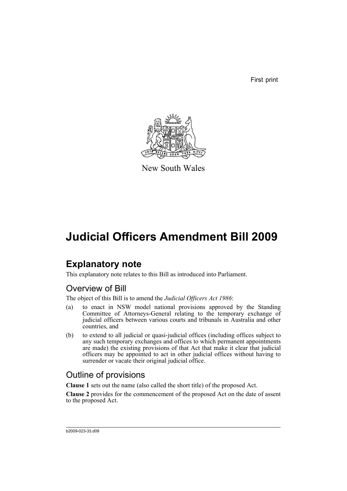First print



New South Wales

# **Judicial Officers Amendment Bill 2009**

## **Explanatory note**

This explanatory note relates to this Bill as introduced into Parliament.

## Overview of Bill

The object of this Bill is to amend the *Judicial Officers Act 1986*:

- (a) to enact in NSW model national provisions approved by the Standing Committee of Attorneys-General relating to the temporary exchange of judicial officers between various courts and tribunals in Australia and other countries, and
- (b) to extend to all judicial or quasi-judicial offices (including offices subject to any such temporary exchanges and offices to which permanent appointments are made) the existing provisions of that Act that make it clear that judicial officers may be appointed to act in other judicial offices without having to surrender or vacate their original judicial office.

## Outline of provisions

**Clause 1** sets out the name (also called the short title) of the proposed Act.

**Clause 2** provides for the commencement of the proposed Act on the date of assent to the proposed Act.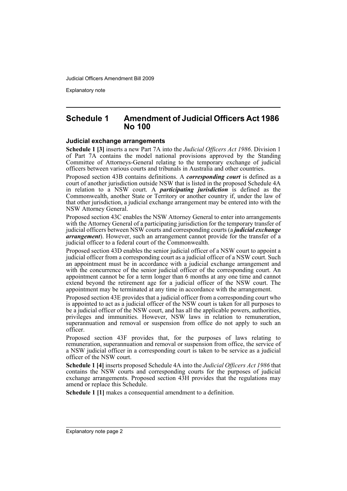Explanatory note

### **Schedule 1 Amendment of Judicial Officers Act 1986 No 100**

#### **Judicial exchange arrangements**

**Schedule 1 [3]** inserts a new Part 7A into the *Judicial Officers Act 1986*. Division 1 of Part 7A contains the model national provisions approved by the Standing Committee of Attorneys-General relating to the temporary exchange of judicial officers between various courts and tribunals in Australia and other countries.

Proposed section 43B contains definitions. A *corresponding court* is defined as a court of another jurisdiction outside NSW that is listed in the proposed Schedule 4A in relation to a NSW court. A *participating jurisdiction* is defined as the Commonwealth, another State or Territory or another country if, under the law of that other jurisdiction, a judicial exchange arrangement may be entered into with the NSW Attorney General.

Proposed section 43C enables the NSW Attorney General to enter into arrangements with the Attorney General of a participating jurisdiction for the temporary transfer of judicial officers between NSW courts and corresponding courts (a *judicial exchange arrangement*). However, such an arrangement cannot provide for the transfer of a judicial officer to a federal court of the Commonwealth.

Proposed section 43D enables the senior judicial officer of a NSW court to appoint a judicial officer from a corresponding court as a judicial officer of a NSW court. Such an appointment must be in accordance with a judicial exchange arrangement and with the concurrence of the senior judicial officer of the corresponding court. An appointment cannot be for a term longer than 6 months at any one time and cannot extend beyond the retirement age for a judicial officer of the NSW court. The appointment may be terminated at any time in accordance with the arrangement.

Proposed section 43E provides that a judicial officer from a corresponding court who is appointed to act as a judicial officer of the NSW court is taken for all purposes to be a judicial officer of the NSW court, and has all the applicable powers, authorities, privileges and immunities. However, NSW laws in relation to remuneration, superannuation and removal or suspension from office do not apply to such an officer.

Proposed section 43F provides that, for the purposes of laws relating to remuneration, superannuation and removal or suspension from office, the service of a NSW judicial officer in a corresponding court is taken to be service as a judicial officer of the NSW court.

**Schedule 1 [4]** inserts proposed Schedule 4A into the *Judicial Officers Act 1986* that contains the NSW courts and corresponding courts for the purposes of judicial exchange arrangements. Proposed section 43H provides that the regulations may amend or replace this Schedule.

**Schedule 1 [1]** makes a consequential amendment to a definition.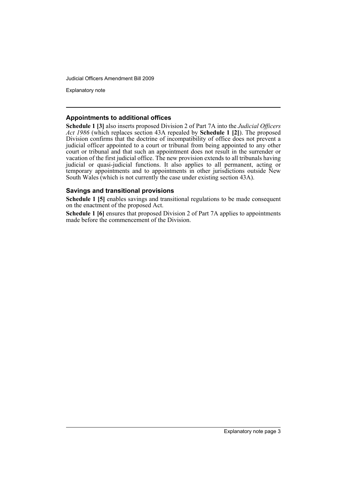Explanatory note

#### **Appointments to additional offices**

**Schedule 1 [3]** also inserts proposed Division 2 of Part 7A into the *Judicial Officers Act 1986* (which replaces section 43A repealed by **Schedule 1 [2]**). The proposed Division confirms that the doctrine of incompatibility of office does not prevent a judicial officer appointed to a court or tribunal from being appointed to any other court or tribunal and that such an appointment does not result in the surrender or vacation of the first judicial office. The new provision extends to all tribunals having judicial or quasi-judicial functions. It also applies to all permanent, acting or temporary appointments and to appointments in other jurisdictions outside New South Wales (which is not currently the case under existing section 43A).

### **Savings and transitional provisions**

**Schedule 1 [5]** enables savings and transitional regulations to be made consequent on the enactment of the proposed Act.

**Schedule 1 [6]** ensures that proposed Division 2 of Part 7A applies to appointments made before the commencement of the Division.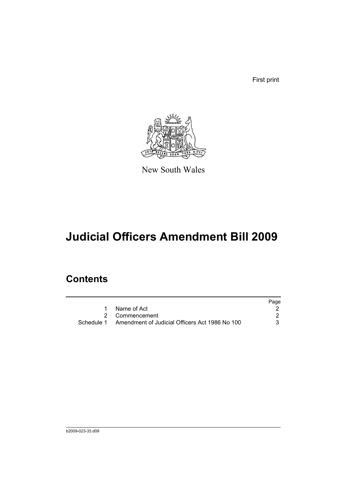First print



New South Wales

# **Judicial Officers Amendment Bill 2009**

## **Contents**

|                                                           | Page |
|-----------------------------------------------------------|------|
| 1 Name of Act                                             |      |
| 2 Commencement                                            |      |
| Schedule 1 Amendment of Judicial Officers Act 1986 No 100 |      |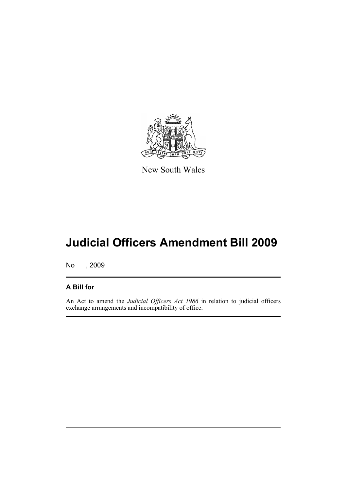

New South Wales

# **Judicial Officers Amendment Bill 2009**

No , 2009

### **A Bill for**

An Act to amend the *Judicial Officers Act 1986* in relation to judicial officers exchange arrangements and incompatibility of office.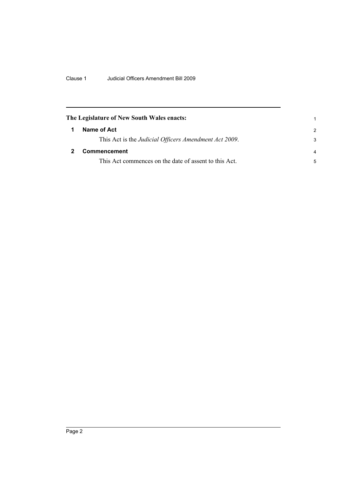<span id="page-7-1"></span><span id="page-7-0"></span>

| The Legislature of New South Wales enacts:            |                |  |
|-------------------------------------------------------|----------------|--|
| Name of Act                                           | $\mathcal{P}$  |  |
| This Act is the Judicial Officers Amendment Act 2009. | 3              |  |
| <b>Commencement</b>                                   | $\overline{a}$ |  |
| This Act commences on the date of assent to this Act. | 5              |  |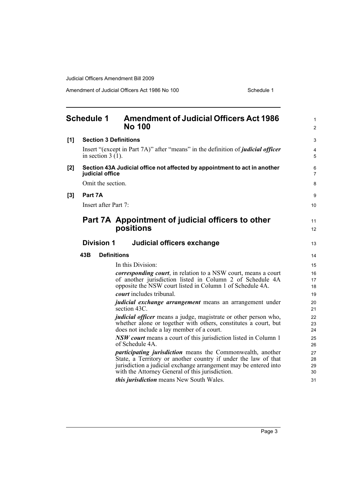Amendment of Judicial Officers Act 1986 No 100 Schedule 1

<span id="page-8-0"></span>

|     | <b>Schedule 1</b>   | <b>Amendment of Judicial Officers Act 1986</b><br><b>No 100</b>                                                                                                                                                                                            | $\mathbf{1}$<br>$\overline{2}$ |
|-----|---------------------|------------------------------------------------------------------------------------------------------------------------------------------------------------------------------------------------------------------------------------------------------------|--------------------------------|
| [1] |                     | <b>Section 3 Definitions</b>                                                                                                                                                                                                                               | 3                              |
|     | in section $3(1)$ . | Insert "(except in Part 7A)" after "means" in the definition of <i>judicial officer</i>                                                                                                                                                                    | 4<br>5                         |
| [2] | judicial office     | Section 43A Judicial office not affected by appointment to act in another                                                                                                                                                                                  | 6<br>7                         |
|     | Omit the section.   |                                                                                                                                                                                                                                                            | 8                              |
| [3] | Part 7A             |                                                                                                                                                                                                                                                            | 9                              |
|     |                     | Insert after Part 7:                                                                                                                                                                                                                                       | 10                             |
|     |                     | Part 7A Appointment of judicial officers to other<br>positions                                                                                                                                                                                             | 11<br>12                       |
|     | <b>Division 1</b>   | Judicial officers exchange                                                                                                                                                                                                                                 | 13                             |
|     | 43B                 | <b>Definitions</b>                                                                                                                                                                                                                                         | 14                             |
|     |                     | In this Division:                                                                                                                                                                                                                                          | 15                             |
|     |                     | <i>corresponding court</i> , in relation to a NSW court, means a court<br>of another jurisdiction listed in Column 2 of Schedule 4A<br>opposite the NSW court listed in Column 1 of Schedule 4A.                                                           | 16<br>17<br>18                 |
|     |                     | <i>court</i> includes tribunal.                                                                                                                                                                                                                            | 19                             |
|     |                     | <i>judicial exchange arrangement</i> means an arrangement under<br>section 43C.                                                                                                                                                                            | 20<br>21                       |
|     |                     | <i>judicial officer</i> means a judge, magistrate or other person who,<br>whether alone or together with others, constitutes a court, but<br>does not include a lay member of a court.                                                                     | 22<br>23<br>24                 |
|     |                     | <i>NSW court</i> means a court of this jurisdiction listed in Column 1<br>of Schedule 4A.                                                                                                                                                                  | 25<br>26                       |
|     |                     | <i>participating jurisdiction</i> means the Commonwealth, another<br>State, a Territory or another country if under the law of that<br>jurisdiction a judicial exchange arrangement may be entered into<br>with the Attorney General of this jurisdiction. | 27<br>28<br>29<br>30           |
|     |                     | this jurisdiction means New South Wales.                                                                                                                                                                                                                   | 31                             |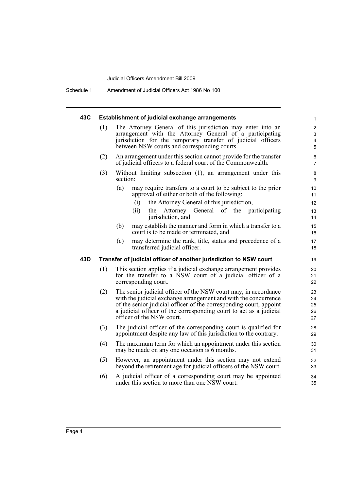Schedule 1 Amendment of Judicial Officers Act 1986 No 100

### **43C Establishment of judicial exchange arrangements**

| 43C | Establishment of judicial exchange arrangements |                                                                                                                                                                                                                                                                                                             |                            |  |
|-----|-------------------------------------------------|-------------------------------------------------------------------------------------------------------------------------------------------------------------------------------------------------------------------------------------------------------------------------------------------------------------|----------------------------|--|
|     | (1)                                             | The Attorney General of this jurisdiction may enter into an<br>arrangement with the Attorney General of a participating<br>jurisdiction for the temporary transfer of judicial officers<br>between NSW courts and corresponding courts.                                                                     |                            |  |
|     | (2)                                             | An arrangement under this section cannot provide for the transfer<br>of judicial officers to a federal court of the Commonwealth.                                                                                                                                                                           | 6<br>7                     |  |
|     | (3)                                             | Without limiting subsection (1), an arrangement under this<br>section:                                                                                                                                                                                                                                      | 8<br>9                     |  |
|     |                                                 | (a)<br>may require transfers to a court to be subject to the prior<br>approval of either or both of the following:                                                                                                                                                                                          | 10<br>11                   |  |
|     |                                                 | the Attorney General of this jurisdiction,<br>(i)                                                                                                                                                                                                                                                           | 12                         |  |
|     |                                                 | (ii)<br>Attorney General of the participating<br>the<br>jurisdiction, and                                                                                                                                                                                                                                   | 13<br>14                   |  |
|     |                                                 | may establish the manner and form in which a transfer to a<br>(b)<br>court is to be made or terminated, and                                                                                                                                                                                                 | 15<br>16                   |  |
|     |                                                 | may determine the rank, title, status and precedence of a<br>(c)<br>transferred judicial officer.                                                                                                                                                                                                           | 17<br>18                   |  |
| 43D |                                                 | Transfer of judicial officer of another jurisdiction to NSW court                                                                                                                                                                                                                                           | 19                         |  |
|     | (1)                                             | This section applies if a judicial exchange arrangement provides<br>for the transfer to a NSW court of a judicial officer of a<br>corresponding court.                                                                                                                                                      | 20<br>21<br>22             |  |
|     | (2)                                             | The senior judicial officer of the NSW court may, in accordance<br>with the judicial exchange arrangement and with the concurrence<br>of the senior judicial officer of the corresponding court, appoint<br>a judicial officer of the corresponding court to act as a judicial<br>officer of the NSW court. | 23<br>24<br>25<br>26<br>27 |  |
|     | (3)                                             | The judicial officer of the corresponding court is qualified for<br>appointment despite any law of this jurisdiction to the contrary.                                                                                                                                                                       | 28<br>29                   |  |
|     | (4)                                             | The maximum term for which an appointment under this section<br>may be made on any one occasion is 6 months.                                                                                                                                                                                                | 30<br>31                   |  |
|     | (5)                                             | However, an appointment under this section may not extend<br>beyond the retirement age for judicial officers of the NSW court.                                                                                                                                                                              | 32<br>33                   |  |
|     | (6)                                             | A judicial officer of a corresponding court may be appointed<br>under this section to more than one NSW court.                                                                                                                                                                                              | 34<br>35                   |  |
|     |                                                 |                                                                                                                                                                                                                                                                                                             |                            |  |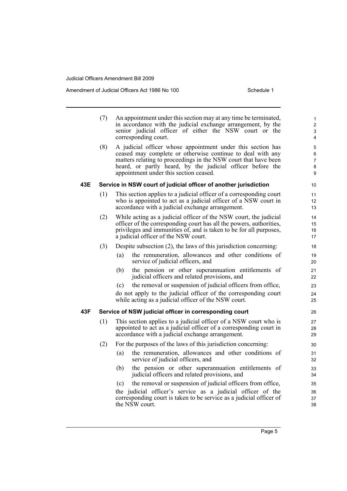Amendment of Judicial Officers Act 1986 No 100 Schedule 1

|     | (7) | An appointment under this section may at any time be terminated,<br>in accordance with the judicial exchange arrangement, by the<br>senior judicial officer of either the NSW court or the<br>corresponding court.                                                                                   | $\mathbf{1}$<br>$\mathbf 2$<br>3<br>4 |  |
|-----|-----|------------------------------------------------------------------------------------------------------------------------------------------------------------------------------------------------------------------------------------------------------------------------------------------------------|---------------------------------------|--|
|     | (8) | A judicial officer whose appointment under this section has<br>ceased may complete or otherwise continue to deal with any<br>matters relating to proceedings in the NSW court that have been<br>heard, or partly heard, by the judicial officer before the<br>appointment under this section ceased. | 5<br>6<br>7<br>8<br>9                 |  |
| 43E |     | Service in NSW court of judicial officer of another jurisdiction                                                                                                                                                                                                                                     | 10                                    |  |
|     | (1) | This section applies to a judicial officer of a corresponding court<br>who is appointed to act as a judicial officer of a NSW court in<br>accordance with a judicial exchange arrangement.                                                                                                           | 11<br>12<br>13                        |  |
|     | (2) | While acting as a judicial officer of the NSW court, the judicial<br>officer of the corresponding court has all the powers, authorities,<br>privileges and immunities of, and is taken to be for all purposes,<br>a judicial officer of the NSW court.                                               | 14<br>15<br>16<br>17                  |  |
|     | (3) | Despite subsection (2), the laws of this jurisdiction concerning:                                                                                                                                                                                                                                    | 18                                    |  |
|     |     | the remuneration, allowances and other conditions of<br>(a)<br>service of judicial officers, and                                                                                                                                                                                                     | 19<br>20                              |  |
|     |     | the pension or other superannuation entitlements of<br>(b)<br>judicial officers and related provisions, and                                                                                                                                                                                          | 21<br>22                              |  |
|     |     | the removal or suspension of judicial officers from office,<br>(c)                                                                                                                                                                                                                                   | 23                                    |  |
|     |     | do not apply to the judicial officer of the corresponding court<br>while acting as a judicial officer of the NSW court.                                                                                                                                                                              | 24<br>25                              |  |
| 43F |     | Service of NSW judicial officer in corresponding court                                                                                                                                                                                                                                               | 26                                    |  |
|     | (1) | This section applies to a judicial officer of a NSW court who is<br>appointed to act as a judicial officer of a corresponding court in<br>accordance with a judicial exchange arrangement.                                                                                                           |                                       |  |
|     | (2) | For the purposes of the laws of this jurisdiction concerning:                                                                                                                                                                                                                                        | 30                                    |  |
|     |     | the remuneration, allowances and other conditions of<br>(a)<br>service of judicial officers, and                                                                                                                                                                                                     | 31<br>32                              |  |
|     |     | the pension or other superannuation entitlements of<br>(b)<br>judicial officers and related provisions, and                                                                                                                                                                                          | 33<br>34                              |  |
|     |     | the removal or suspension of judicial officers from office,<br>(c)                                                                                                                                                                                                                                   | 35                                    |  |
|     |     | the judicial officer's service as a judicial officer of the<br>corresponding court is taken to be service as a judicial officer of<br>the NSW court.                                                                                                                                                 | 36<br>37<br>38                        |  |

Page 5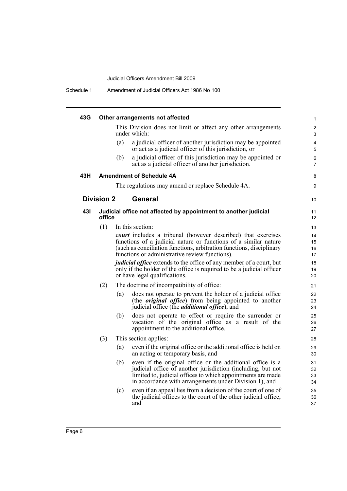| 43G |                   |     | Other arrangements not affected                                                                                                                                                                                                                                         |  |
|-----|-------------------|-----|-------------------------------------------------------------------------------------------------------------------------------------------------------------------------------------------------------------------------------------------------------------------------|--|
|     |                   |     | This Division does not limit or affect any other arrangements<br>under which:                                                                                                                                                                                           |  |
|     |                   | (a) | a judicial officer of another jurisdiction may be appointed<br>or act as a judicial officer of this jurisdiction, or                                                                                                                                                    |  |
|     |                   | (b) | a judicial officer of this jurisdiction may be appointed or<br>act as a judicial officer of another jurisdiction.                                                                                                                                                       |  |
| 43H |                   |     | <b>Amendment of Schedule 4A</b>                                                                                                                                                                                                                                         |  |
|     |                   |     | The regulations may amend or replace Schedule 4A.                                                                                                                                                                                                                       |  |
|     | <b>Division 2</b> |     | General                                                                                                                                                                                                                                                                 |  |
| 431 | office            |     | Judicial office not affected by appointment to another judicial                                                                                                                                                                                                         |  |
|     | (1)               |     | In this section:                                                                                                                                                                                                                                                        |  |
|     |                   |     | <b><i>court</i></b> includes a tribunal (however described) that exercises<br>functions of a judicial nature or functions of a similar nature<br>(such as conciliation functions, arbitration functions, disciplinary<br>functions or administrative review functions). |  |
|     |                   |     | <i>judicial office</i> extends to the office of any member of a court, but<br>only if the holder of the office is required to be a judicial officer<br>or have legal qualifications.                                                                                    |  |
|     | (2)               |     | The doctrine of incompatibility of office:                                                                                                                                                                                                                              |  |
|     |                   | (a) | does not operate to prevent the holder of a judicial office<br>(the <i>original office</i> ) from being appointed to another<br>judicial office (the <i>additional office</i> ), and                                                                                    |  |
|     |                   | (b) | does not operate to effect or require the surrender or<br>vacation of the original office as a result of the<br>appointment to the additional office.                                                                                                                   |  |
|     | (3)               |     | This section applies:                                                                                                                                                                                                                                                   |  |
|     |                   | (a) | even if the original office or the additional office is held on<br>an acting or temporary basis, and                                                                                                                                                                    |  |
|     |                   | (b) | even if the original office or the additional office is a<br>judicial office of another jurisdiction (including, but not<br>limited to, judicial offices to which appointments are made<br>in accordance with arrangements under Division 1), and                       |  |
|     |                   | (c) | even if an appeal lies from a decision of the court of one of<br>the judicial offices to the court of the other judicial office,<br>and                                                                                                                                 |  |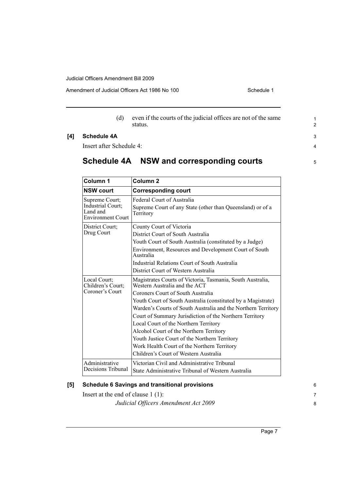Amendment of Judicial Officers Act 1986 No 100

(d) even if the courts of the judicial offices are not of the same status.

### **[4] Schedule 4A**

Insert after Schedule 4:

## **Schedule 4A NSW and corresponding courts**

| Column 1                                                                    | Column <sub>2</sub>                                                                                                                                                                                                                                                                                                                                                                                                                                                                                                                                       |
|-----------------------------------------------------------------------------|-----------------------------------------------------------------------------------------------------------------------------------------------------------------------------------------------------------------------------------------------------------------------------------------------------------------------------------------------------------------------------------------------------------------------------------------------------------------------------------------------------------------------------------------------------------|
| <b>NSW court</b>                                                            | <b>Corresponding court</b>                                                                                                                                                                                                                                                                                                                                                                                                                                                                                                                                |
| Supreme Court;<br>Industrial Court;<br>Land and<br><b>Environment Court</b> | Federal Court of Australia<br>Supreme Court of any State (other than Queensland) or of a<br>Territory                                                                                                                                                                                                                                                                                                                                                                                                                                                     |
| District Court;<br>Drug Court                                               | County Court of Victoria<br>District Court of South Australia<br>Youth Court of South Australia (constituted by a Judge)<br>Environment, Resources and Development Court of South<br>Australia<br>Industrial Relations Court of South Australia<br>District Court of Western Australia                                                                                                                                                                                                                                                                    |
| Local Court;<br>Children's Court;<br>Coroner's Court                        | Magistrates Courts of Victoria, Tasmania, South Australia,<br>Western Australia and the ACT<br>Coroners Court of South Australia<br>Youth Court of South Australia (constituted by a Magistrate)<br>Warden's Courts of South Australia and the Northern Territory<br>Court of Summary Jurisdiction of the Northern Territory<br>Local Court of the Northern Territory<br>Alcohol Court of the Northern Territory<br>Youth Justice Court of the Northern Territory<br>Work Health Court of the Northern Territory<br>Children's Court of Western Australia |
| Administrative<br>Decisions Tribunal                                        | Victorian Civil and Administrative Tribunal<br>State Administrative Tribunal of Western Australia                                                                                                                                                                                                                                                                                                                                                                                                                                                         |

### **[5] Schedule 6 Savings and transitional provisions**

Insert at the end of clause 1 (1): *Judicial Officers Amendment Act 2009* 6 7 8

1 2

3 4

5